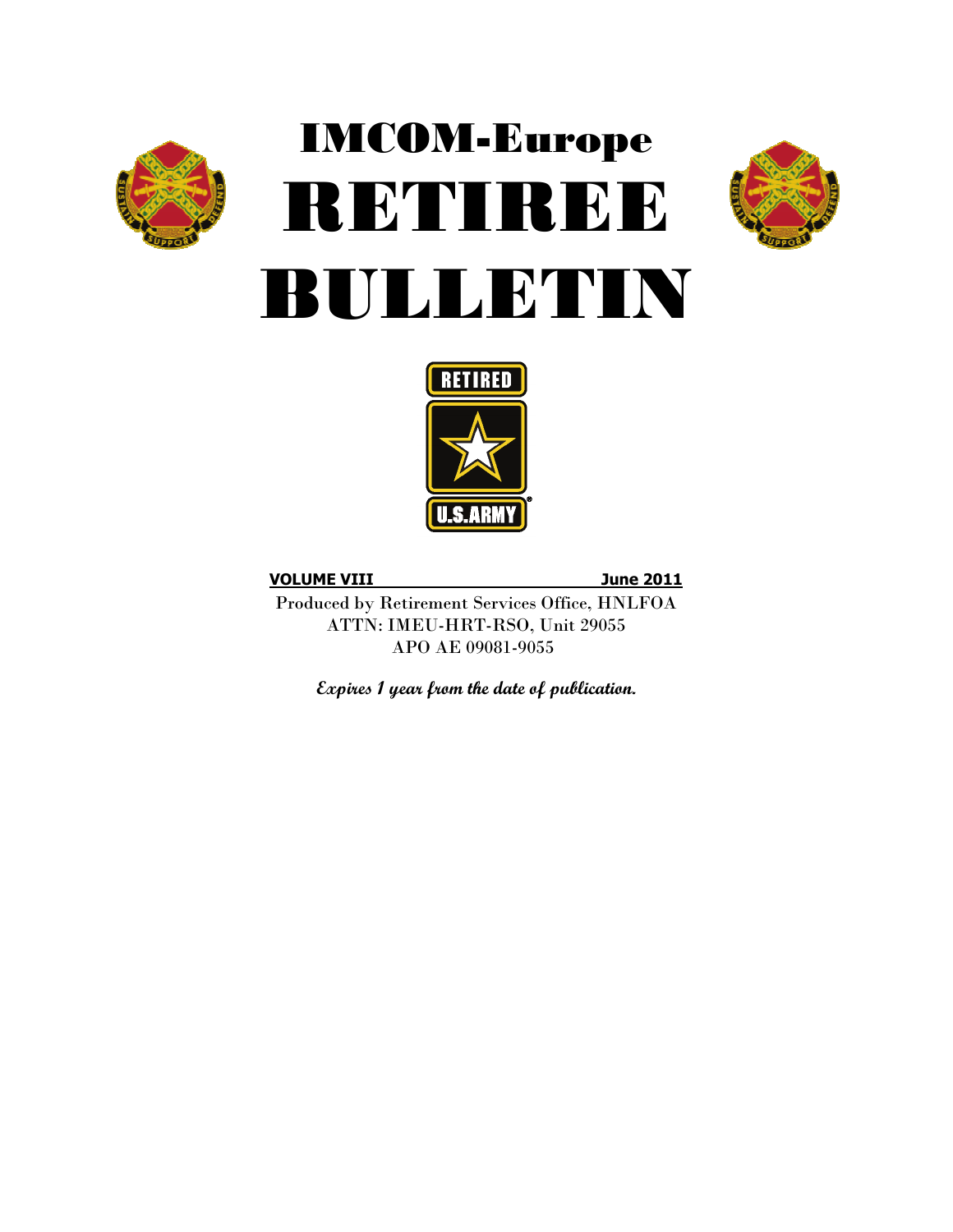

# IMCOM-Europe RETIREE BULLETIN





**VOLUME VIII June 2011**

Produced by Retirement Services Office, HNLFOA ATTN: IMEU-HRT-RSO, Unit 29055 APO AE 09081-9055

**Expires 1 year from the date of publication.**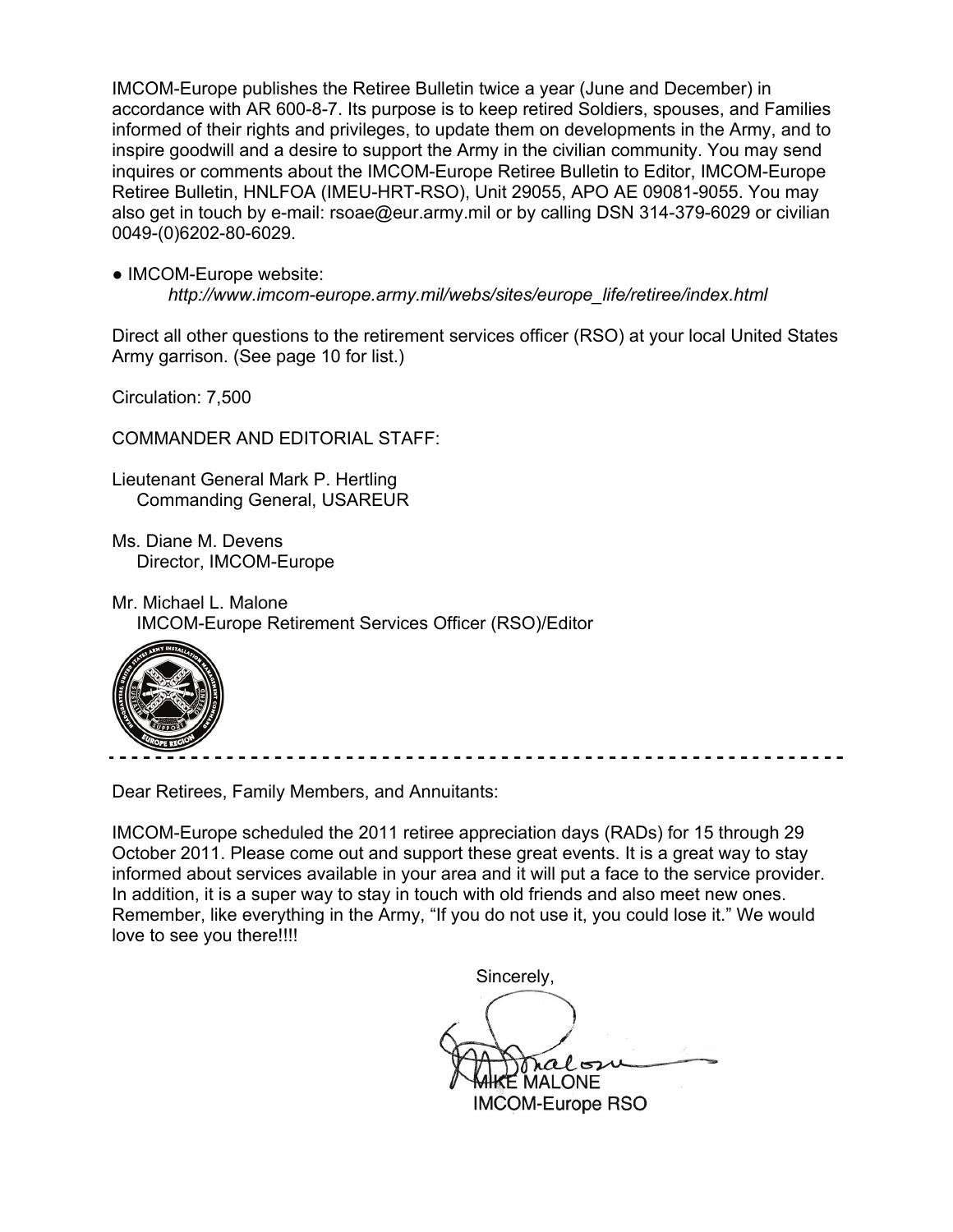IMCOM-Europe publishes the Retiree Bulletin twice a year (June and December) in accordance with AR 600-8-7. Its purpose is to keep retired Soldiers, spouses, and Families informed of their rights and privileges, to update them on developments in the Army, and to inspire goodwill and a desire to support the Army in the civilian community. You may send inquires or comments about the IMCOM-Europe Retiree Bulletin to Editor, IMCOM-Europe Retiree Bulletin, HNLFOA (IMEU-HRT-RSO), Unit 29055, APO AE 09081-9055. You may also get in touch by e-mail: rsoae@eur.army.mil or by calling DSN 314-379-6029 or civilian 0049-(0)6202-80-6029.

● IMCOM-Europe website:

*http://www.imcom-europe.army.mil/webs/sites/europe\_life/retiree/index.html*

Direct all other questions to the retirement services officer (RSO) at your local United States Army garrison. (See page 10 for list.)

Circulation: 7,500

COMMANDER AND EDITORIAL STAFF:

Lieutenant General Mark P. Hertling Commanding General, USAREUR

- Ms. Diane M. Devens Director, IMCOM-Europe
- Mr. Michael L. Malone

IMCOM-Europe Retirement Services Officer (RSO)/Editor



Dear Retirees, Family Members, and Annuitants:

IMCOM-Europe scheduled the 2011 retiree appreciation days (RADs) for 15 through 29 October 2011. Please come out and support these great events. It is a great way to stay informed about services available in your area and it will put a face to the service provider. In addition, it is a super way to stay in touch with old friends and also meet new ones. Remember, like everything in the Army, "If you do not use it, you could lose it." We would love to see you there!!!!

Sincerely,

ral 52  $\mathsf E$  MALONE IMCOM-Europe RSO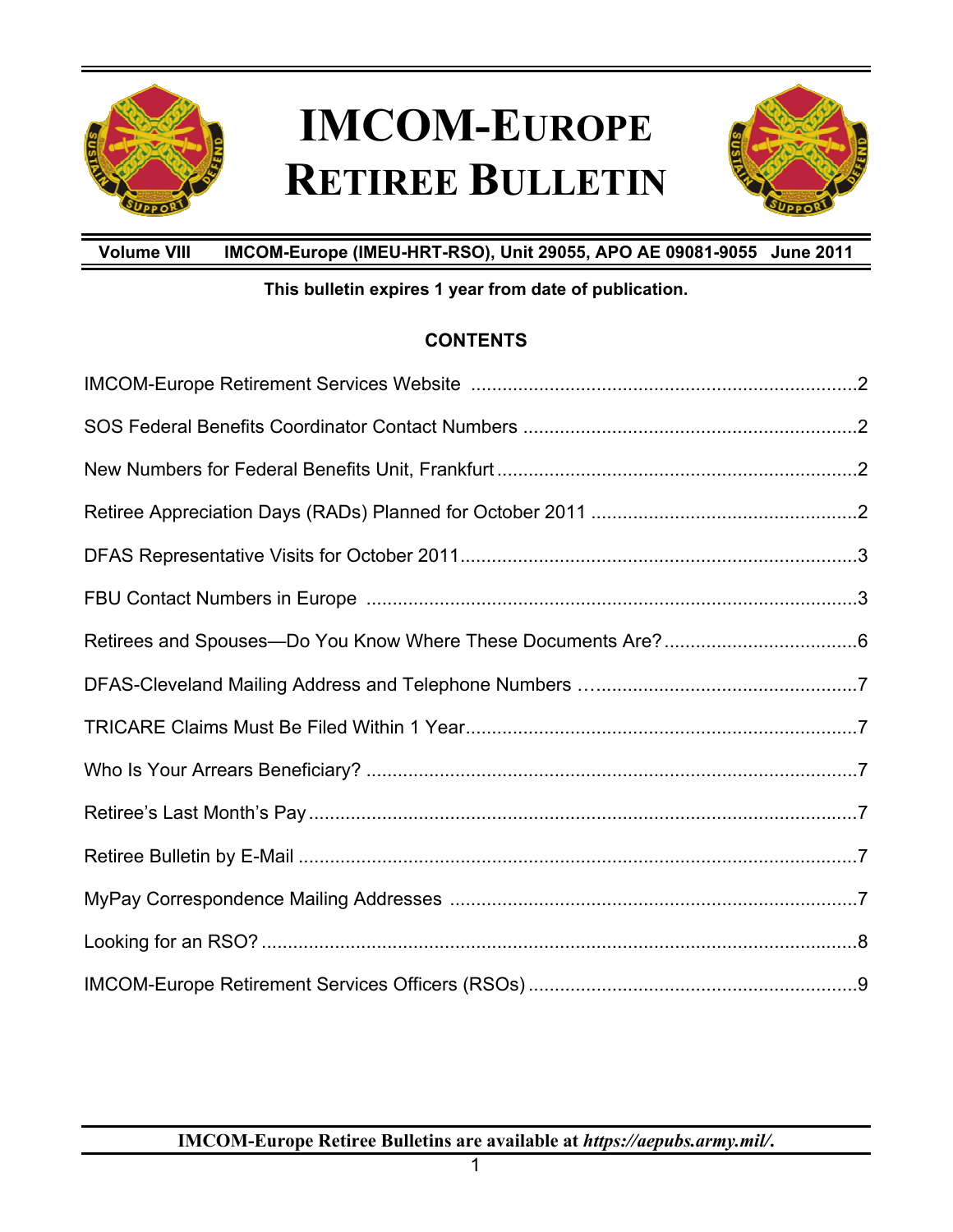

## **IMCOM-EUROPE RETIREE BULLETIN**



**Volume VIII IMCOM-Europe (IMEU-HRT-RSO), Unit 29055, APO AE 09081-9055 June 2011** 

### **This bulletin expires 1 year from date of publication.**

### **CONTENTS**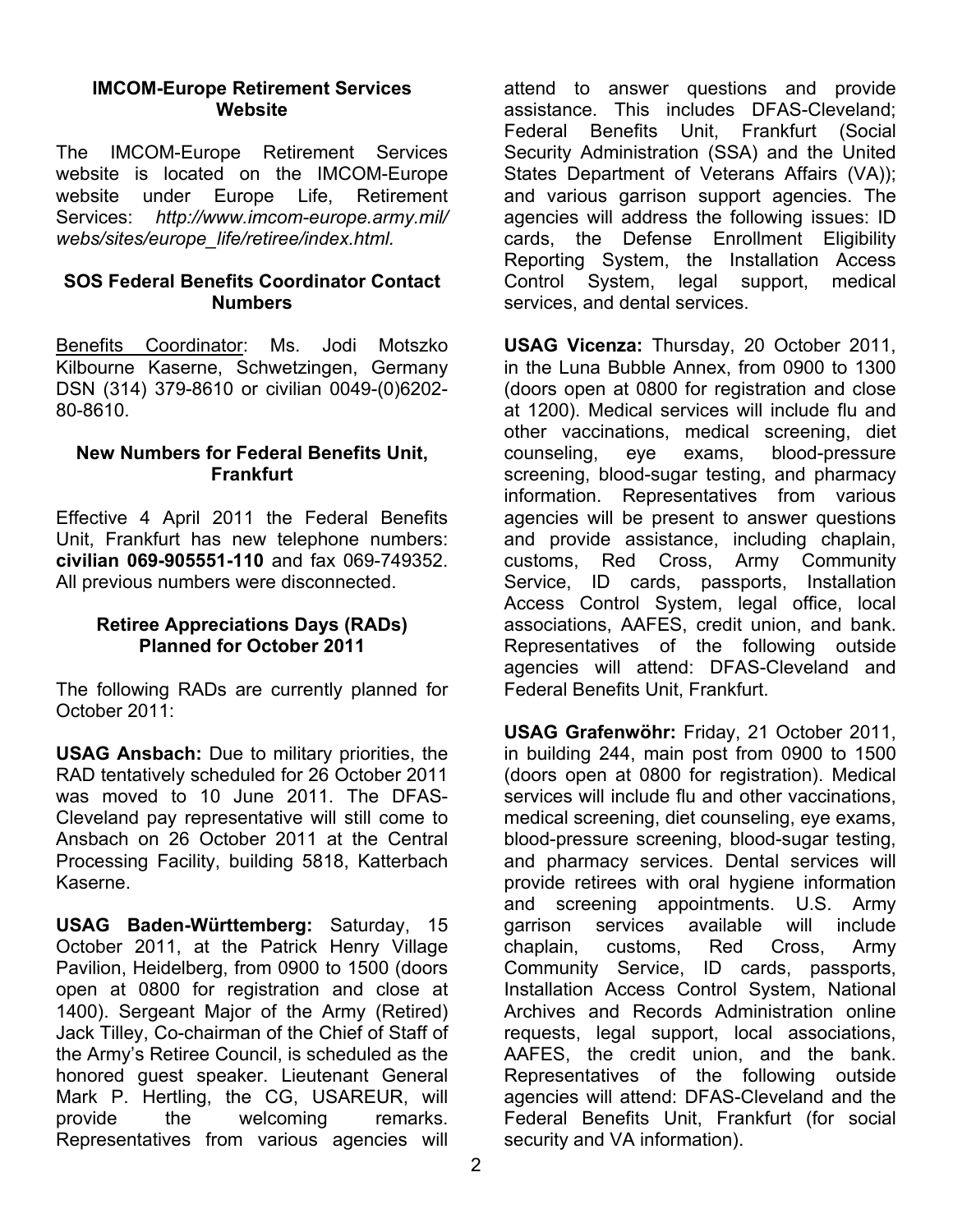#### **IMCOM-Europe Retirement Services Website**

The IMCOM-Europe Retirement Services website is located on the IMCOM-Europe website under Europe Life, Retirement Services: *http://www.imcom-europe.army.mil/ webs/sites/europe\_life/retiree/index.html.* 

#### **SOS Federal Benefits Coordinator Contact Numbers**

Benefits Coordinator: Ms. Jodi Motszko Kilbourne Kaserne, Schwetzingen, Germany DSN (314) 379-8610 or civilian 0049-(0)6202- 80-8610.

#### **New Numbers for Federal Benefits Unit, Frankfurt**

Effective 4 April 2011 the Federal Benefits Unit, Frankfurt has new telephone numbers: **civilian 069-905551-110** and fax 069-749352. All previous numbers were disconnected.

#### **Retiree Appreciations Days (RADs) Planned for October 2011**

The following RADs are currently planned for October 2011:

**USAG Ansbach:** Due to military priorities, the RAD tentatively scheduled for 26 October 2011 was moved to 10 June 2011. The DFAS-Cleveland pay representative will still come to Ansbach on 26 October 2011 at the Central Processing Facility, building 5818, Katterbach Kaserne.

**USAG Baden-Württemberg:** Saturday, 15 October 2011, at the Patrick Henry Village Pavilion, Heidelberg, from 0900 to 1500 (doors open at 0800 for registration and close at 1400). Sergeant Major of the Army (Retired) Jack Tilley, Co-chairman of the Chief of Staff of the Army's Retiree Council, is scheduled as the honored guest speaker. Lieutenant General Mark P. Hertling, the CG, USAREUR, will provide the welcoming remarks. Representatives from various agencies will

attend to answer questions and provide assistance. This includes DFAS-Cleveland; Federal Benefits Unit, Frankfurt (Social Security Administration (SSA) and the United States Department of Veterans Affairs (VA)); and various garrison support agencies. The agencies will address the following issues: ID cards, the Defense Enrollment Eligibility Reporting System, the Installation Access Control System, legal support, medical services, and dental services.

**USAG Vicenza:** Thursday, 20 October 2011, in the Luna Bubble Annex, from 0900 to 1300 (doors open at 0800 for registration and close at 1200). Medical services will include flu and other vaccinations, medical screening, diet counseling, eye exams, blood-pressure screening, blood-sugar testing, and pharmacy information. Representatives from various agencies will be present to answer questions and provide assistance, including chaplain, customs, Red Cross, Army Community Service, ID cards, passports, Installation Access Control System, legal office, local associations, AAFES, credit union, and bank. Representatives of the following outside agencies will attend: DFAS-Cleveland and Federal Benefits Unit, Frankfurt.

**USAG Grafenwöhr:** Friday, 21 October 2011, in building 244, main post from 0900 to 1500 (doors open at 0800 for registration). Medical services will include flu and other vaccinations, medical screening, diet counseling, eye exams, blood-pressure screening, blood-sugar testing, and pharmacy services. Dental services will provide retirees with oral hygiene information and screening appointments. U.S. Army garrison services available will include chaplain, customs, Red Cross, Army Community Service, ID cards, passports, Installation Access Control System, National Archives and Records Administration online requests, legal support, local associations, AAFES, the credit union, and the bank. Representatives of the following outside agencies will attend: DFAS-Cleveland and the Federal Benefits Unit, Frankfurt (for social security and VA information).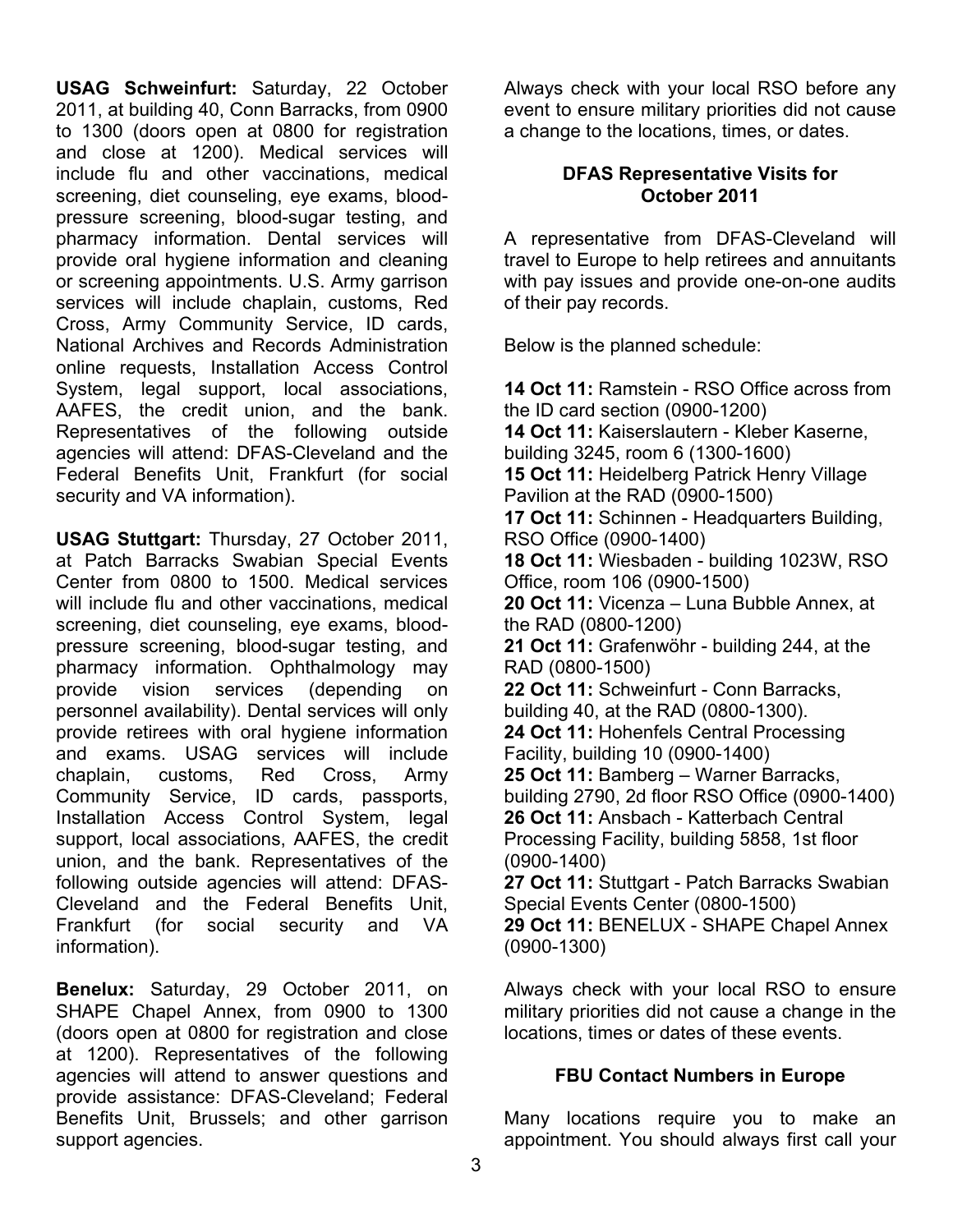**USAG Schweinfurt:** Saturday, 22 October 2011, at building 40, Conn Barracks, from 0900 to 1300 (doors open at 0800 for registration and close at 1200). Medical services will include flu and other vaccinations, medical screening, diet counseling, eye exams, bloodpressure screening, blood-sugar testing, and pharmacy information. Dental services will provide oral hygiene information and cleaning or screening appointments. U.S. Army garrison services will include chaplain, customs, Red Cross, Army Community Service, ID cards, National Archives and Records Administration online requests, Installation Access Control System, legal support, local associations, AAFES, the credit union, and the bank. Representatives of the following outside agencies will attend: DFAS-Cleveland and the Federal Benefits Unit, Frankfurt (for social security and VA information).

**USAG Stuttgart:** Thursday, 27 October 2011, at Patch Barracks Swabian Special Events Center from 0800 to 1500. Medical services will include flu and other vaccinations, medical screening, diet counseling, eye exams, bloodpressure screening, blood-sugar testing, and pharmacy information. Ophthalmology may provide vision services (depending on personnel availability). Dental services will only provide retirees with oral hygiene information and exams. USAG services will include chaplain, customs, Red Cross, Army Community Service, ID cards, passports, Installation Access Control System, legal support, local associations, AAFES, the credit union, and the bank. Representatives of the following outside agencies will attend: DFAS-Cleveland and the Federal Benefits Unit, Frankfurt (for social security and VA information).

**Benelux:** Saturday, 29 October 2011, on SHAPE Chapel Annex, from 0900 to 1300 (doors open at 0800 for registration and close at 1200). Representatives of the following agencies will attend to answer questions and provide assistance: DFAS-Cleveland; Federal Benefits Unit, Brussels; and other garrison support agencies.

Always check with your local RSO before any event to ensure military priorities did not cause a change to the locations, times, or dates.

#### **DFAS Representative Visits for October 2011**

A representative from DFAS-Cleveland will travel to Europe to help retirees and annuitants with pay issues and provide one-on-one audits of their pay records.

Below is the planned schedule:

**14 Oct 11:** Ramstein - RSO Office across from the ID card section (0900-1200) **14 Oct 11:** Kaiserslautern - Kleber Kaserne, building 3245, room 6 (1300-1600) **15 Oct 11:** Heidelberg Patrick Henry Village Pavilion at the RAD (0900-1500) **17 Oct 11:** Schinnen - Headquarters Building, RSO Office (0900-1400) **18 Oct 11:** Wiesbaden - building 1023W, RSO Office, room 106 (0900-1500) **20 Oct 11:** Vicenza – Luna Bubble Annex, at the RAD (0800-1200) **21 Oct 11:** Grafenwöhr - building 244, at the RAD (0800-1500) **22 Oct 11:** Schweinfurt - Conn Barracks, building 40, at the RAD (0800-1300). **24 Oct 11:** Hohenfels Central Processing Facility, building 10 (0900-1400) **25 Oct 11:** Bamberg – Warner Barracks, building 2790, 2d floor RSO Office (0900-1400) **26 Oct 11:** Ansbach - Katterbach Central Processing Facility, building 5858, 1st floor (0900-1400) **27 Oct 11:** Stuttgart - Patch Barracks Swabian Special Events Center (0800-1500) **29 Oct 11:** BENELUX - SHAPE Chapel Annex (0900-1300)

Always check with your local RSO to ensure military priorities did not cause a change in the locations, times or dates of these events.

### **FBU Contact Numbers in Europe**

Many locations require you to make an appointment. You should always first call your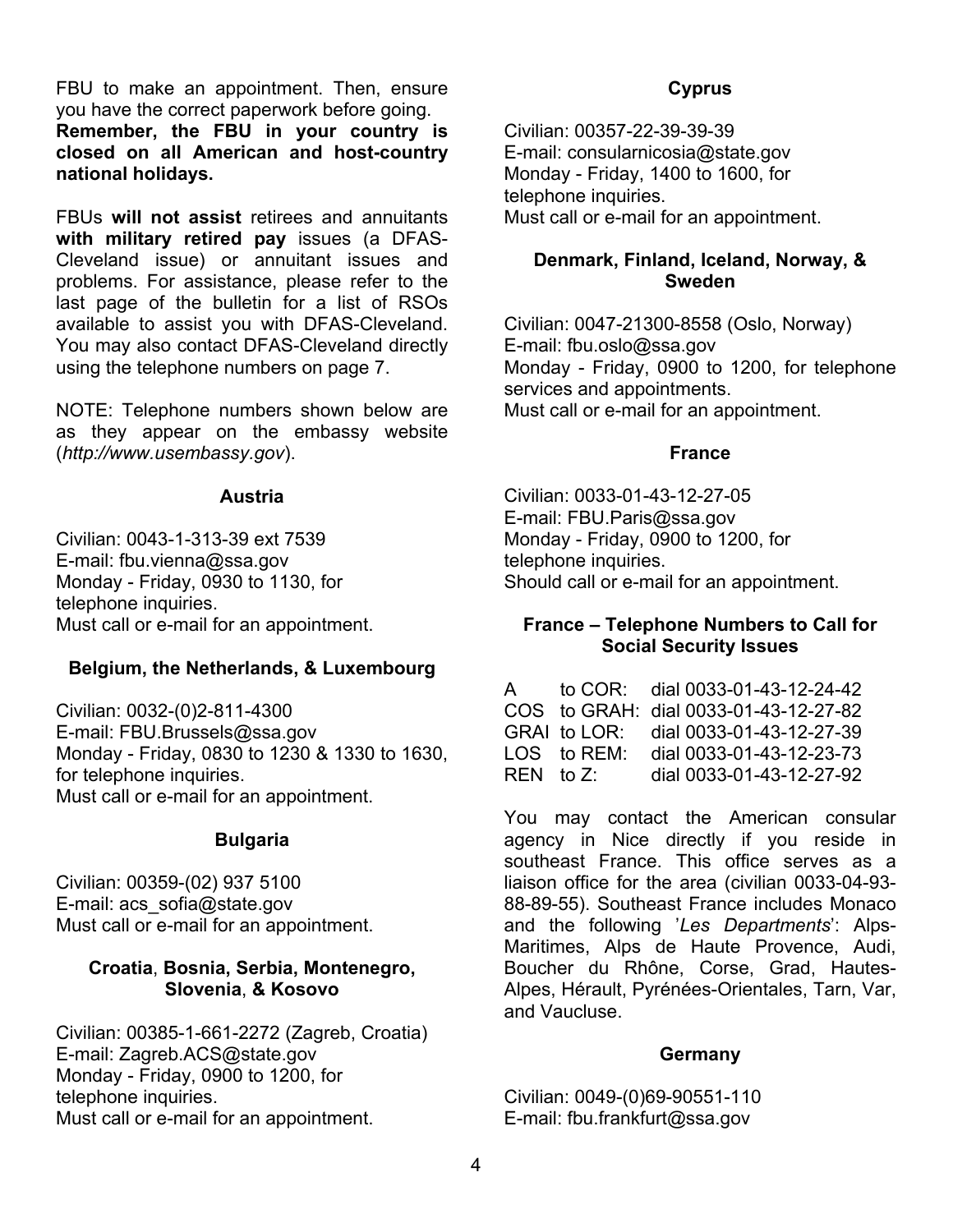FBU to make an appointment. Then, ensure you have the correct paperwork before going. **Remember, the FBU in your country is closed on all American and host-country national holidays.** 

FBUs **will not assist** retirees and annuitants **with military retired pay** issues (a DFAS-Cleveland issue) or annuitant issues and problems. For assistance, please refer to the last page of the bulletin for a list of RSOs available to assist you with DFAS-Cleveland. You may also contact DFAS-Cleveland directly using the telephone numbers on page 7.

NOTE: Telephone numbers shown below are as they appear on the embassy website (*http://www.usembassy.gov*).

#### **Austria**

Civilian: 0043-1-313-39 ext 7539 E-mail: fbu.vienna@ssa.gov Monday - Friday, 0930 to 1130, for telephone inquiries. Must call or e-mail for an appointment.

#### **Belgium, the Netherlands, & Luxembourg**

Civilian: 0032-(0)2-811-4300 E-mail: FBU.Brussels@ssa.gov Monday - Friday, 0830 to 1230 & 1330 to 1630, for telephone inquiries. Must call or e-mail for an appointment.

#### **Bulgaria**

Civilian: 00359-(02) 937 5100 E-mail: acs\_sofia@state.gov Must call or e-mail for an appointment.

#### **Croatia**, **Bosnia, Serbia, Montenegro, Slovenia**, **& Kosovo**

Civilian: 00385-1-661-2272 (Zagreb, Croatia) E-mail: Zagreb.ACS@state.gov Monday - Friday, 0900 to 1200, for telephone inquiries. Must call or e-mail for an appointment.

#### **Cyprus**

Civilian: 00357-22-39-39-39 E-mail: consularnicosia@state.gov Monday - Friday, 1400 to 1600, for telephone inquiries. Must call or e-mail for an appointment.

#### **Denmark, Finland, Iceland, Norway, & Sweden**

Civilian: 0047-21300-8558 (Oslo, Norway) E-mail: fbu.oslo@ssa.gov Monday - Friday, 0900 to 1200, for telephone services and appointments. Must call or e-mail for an appointment.

#### **France**

Civilian: 0033-01-43-12-27-05 E-mail: FBU.Paris@ssa.gov Monday - Friday, 0900 to 1200, for telephone inquiries. Should call or e-mail for an appointment.

#### **France – Telephone Numbers to Call for Social Security Issues**

A to COR: dial 0033-01-43-12-24-42 COS to GRAH: dial 0033-01-43-12-27-82 GRAI to LOR: dial 0033-01-43-12-27-39 LOS to REM: dial 0033-01-43-12-23-73 REN to Z: dial 0033-01-43-12-27-92

You may contact the American consular agency in Nice directly if you reside in southeast France. This office serves as a liaison office for the area (civilian 0033-04-93- 88-89-55). Southeast France includes Monaco and the following '*Les Departments*': Alps-Maritimes, Alps de Haute Provence, Audi, Boucher du Rhône, Corse, Grad, Hautes-Alpes, Hérault, Pyrénées-Orientales, Tarn, Var, and Vaucluse.

#### **Germany**

Civilian: 0049-(0)69-90551-110 E-mail: fbu.frankfurt@ssa.gov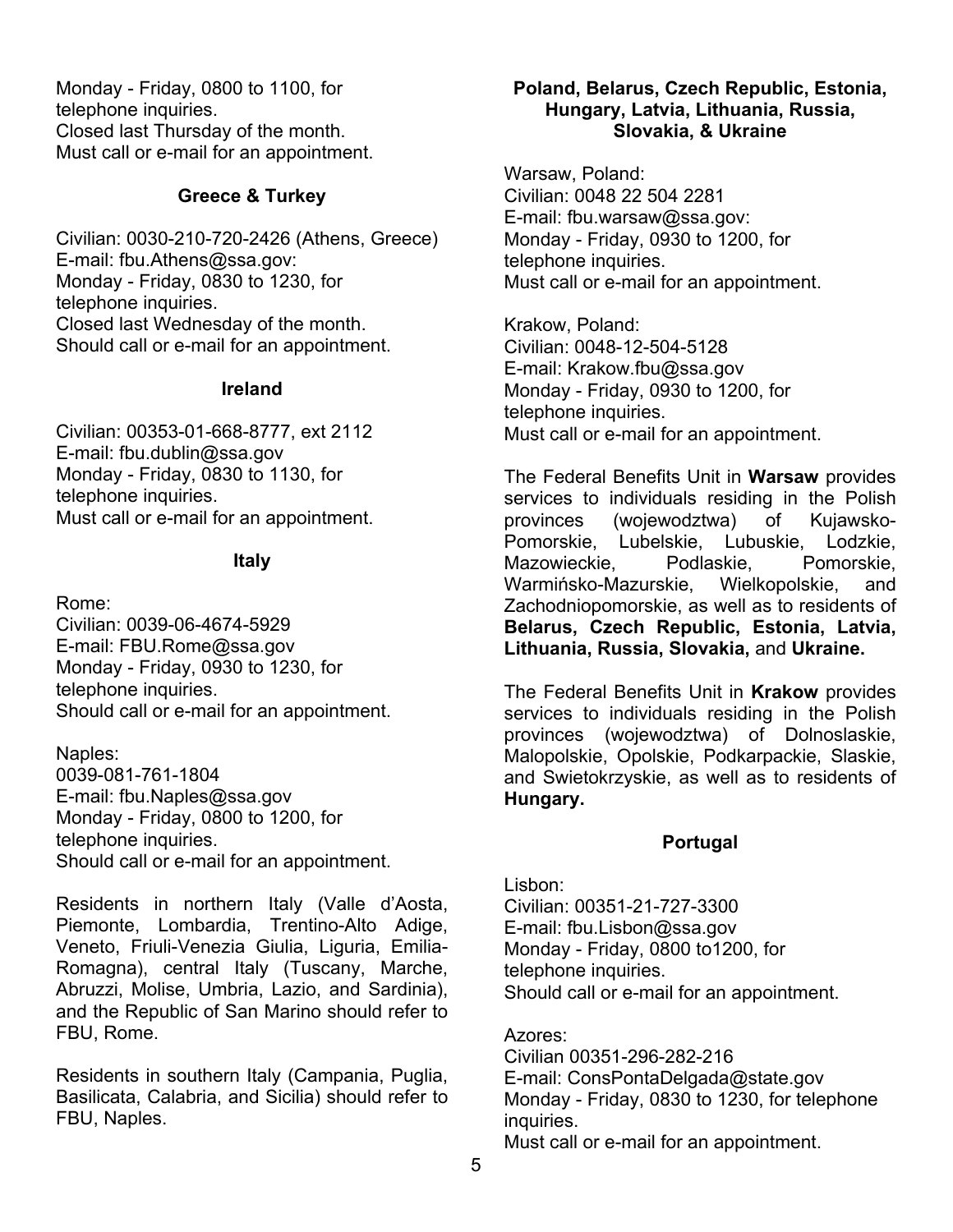Monday - Friday, 0800 to 1100, for telephone inquiries. Closed last Thursday of the month. Must call or e-mail for an appointment.

### **Greece & Turkey**

Civilian: 0030-210-720-2426 (Athens, Greece) E-mail: fbu.Athens@ssa.gov: Monday - Friday, 0830 to 1230, for telephone inquiries. Closed last Wednesday of the month. Should call or e-mail for an appointment.

#### **Ireland**

Civilian: 00353-01-668-8777, ext 2112 E-mail: fbu.dublin@ssa.gov Monday - Friday, 0830 to 1130, for telephone inquiries. Must call or e-mail for an appointment.

#### **Italy**

Rome:

Civilian: 0039-06-4674-5929 E-mail: FBU.Rome@ssa.gov Monday - Friday, 0930 to 1230, for telephone inquiries. Should call or e-mail for an appointment.

Naples:

0039-081-761-1804 E-mail: fbu.Naples@ssa.gov Monday - Friday, 0800 to 1200, for telephone inquiries. Should call or e-mail for an appointment.

Residents in northern Italy (Valle d'Aosta, Piemonte, Lombardia, Trentino-Alto Adige, Veneto, Friuli-Venezia Giulia, Liguria, Emilia-Romagna), central Italy (Tuscany, Marche, Abruzzi, Molise, Umbria, Lazio, and Sardinia), and the Republic of San Marino should refer to FBU, Rome.

Residents in southern Italy (Campania, Puglia, Basilicata, Calabria, and Sicilia) should refer to FBU, Naples.

#### **Poland, Belarus, Czech Republic, Estonia, Hungary, Latvia, Lithuania, Russia, Slovakia, & Ukraine**

Warsaw, Poland: Civilian: 0048 22 504 2281 E-mail: fbu.warsaw@ssa.gov: Monday - Friday, 0930 to 1200, for telephone inquiries. Must call or e-mail for an appointment.

Krakow, Poland: Civilian: 0048-12-504-5128 E-mail: Krakow.fbu@ssa.gov Monday - Friday, 0930 to 1200, for telephone inquiries. Must call or e-mail for an appointment.

The Federal Benefits Unit in **Warsaw** provides services to individuals residing in the Polish provinces (wojewodztwa) of Kujawsko-Pomorskie, Lubelskie, Lubuskie, Lodzkie, Mazowieckie, Podlaskie, Pomorskie, Warmińsko-Mazurskie, Wielkopolskie, and Zachodniopomorskie, as well as to residents of **Belarus, Czech Republic, Estonia, Latvia, Lithuania, Russia, Slovakia,** and **Ukraine.** 

The Federal Benefits Unit in **Krakow** provides services to individuals residing in the Polish provinces (wojewodztwa) of Dolnoslaskie, Malopolskie, Opolskie, Podkarpackie, Slaskie, and Swietokrzyskie, as well as to residents of **Hungary.**

### **Portugal**

Lisbon: Civilian: 00351-21-727-3300 E-mail: fbu.Lisbon@ssa.gov Monday - Friday, 0800 to1200, for telephone inquiries. Should call or e-mail for an appointment.

Azores: Civilian 00351-296-282-216 E-mail: ConsPontaDelgada@state.gov Monday - Friday, 0830 to 1230, for telephone inquiries. Must call or e-mail for an appointment.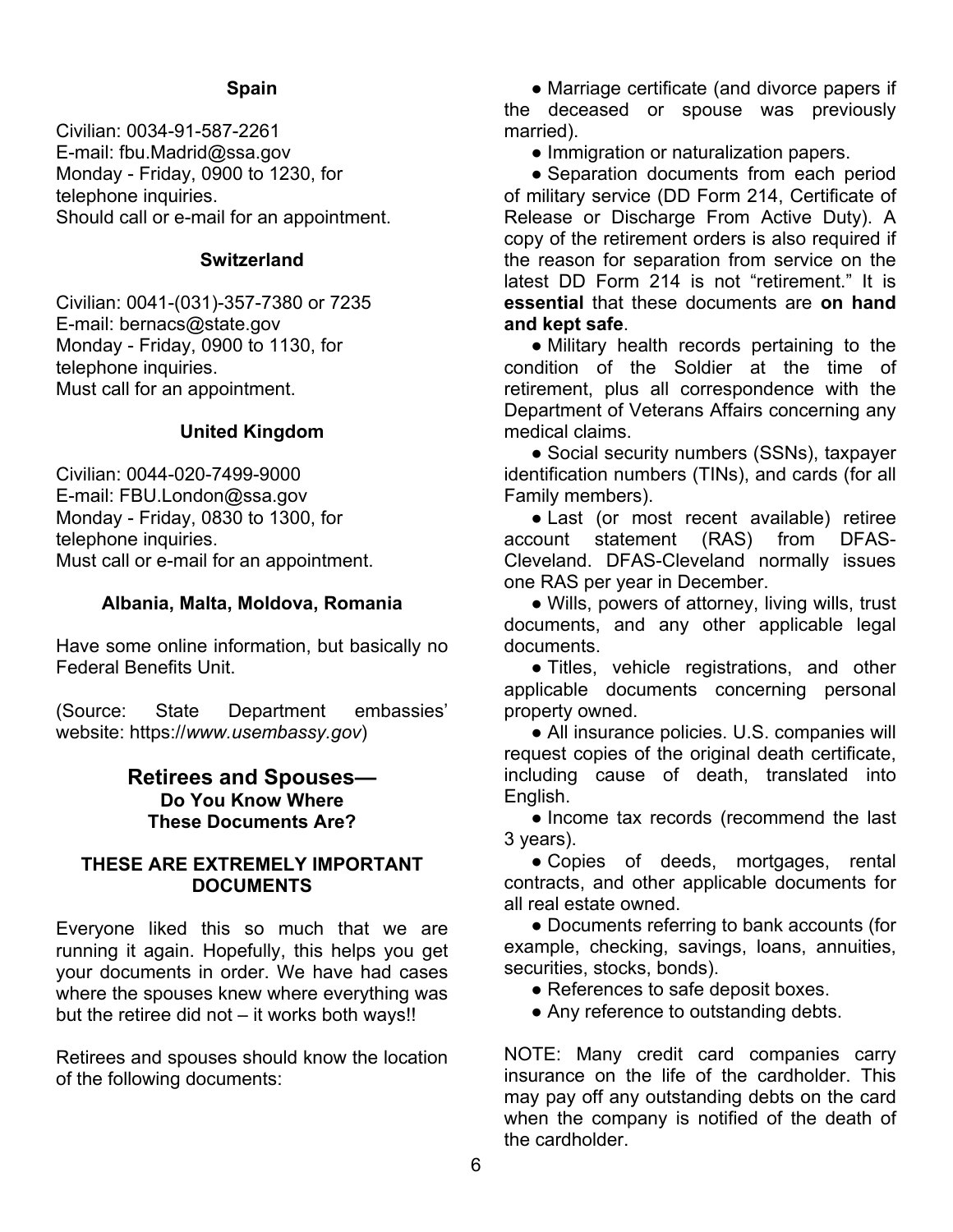#### **Spain**

Civilian: 0034-91-587-2261 E-mail: fbu.Madrid@ssa.gov Monday - Friday, 0900 to 1230, for telephone inquiries. Should call or e-mail for an appointment.

#### **Switzerland**

Civilian: 0041-(031)-357-7380 or 7235 E-mail: bernacs@state.gov Monday - Friday, 0900 to 1130, for telephone inquiries. Must call for an appointment.

#### **United Kingdom**

Civilian: 0044-020-7499-9000 E-mail: FBU.London@ssa.gov Monday - Friday, 0830 to 1300, for telephone inquiries. Must call or e-mail for an appointment.

#### **Albania, Malta, Moldova, Romania**

Have some online information, but basically no Federal Benefits Unit.

(Source: State Department embassies' website: https://*www.usembassy.gov*)

#### **Retirees and Spouses— Do You Know Where These Documents Are?**

#### **THESE ARE EXTREMELY IMPORTANT DOCUMENTS**

Everyone liked this so much that we are running it again. Hopefully, this helps you get your documents in order. We have had cases where the spouses knew where everything was but the retiree did not – it works both ways!!

Retirees and spouses should know the location of the following documents:

**●** Marriage certificate (and divorce papers if the deceased or spouse was previously married).

**●** Immigration or naturalization papers.

**●** Separation documents from each period of military service (DD Form 214, Certificate of Release or Discharge From Active Duty). A copy of the retirement orders is also required if the reason for separation from service on the latest DD Form 214 is not "retirement." It is **essential** that these documents are **on hand and kept safe**.

**●** Military health records pertaining to the condition of the Soldier at the time of retirement, plus all correspondence with the Department of Veterans Affairs concerning any medical claims.

**●** Social security numbers (SSNs), taxpayer identification numbers (TINs), and cards (for all Family members).

**●** Last (or most recent available) retiree account statement (RAS) from DFAS-Cleveland. DFAS-Cleveland normally issues one RAS per year in December.

**●** Wills, powers of attorney, living wills, trust documents, and any other applicable legal documents.

**●** Titles, vehicle registrations, and other applicable documents concerning personal property owned.

**●** All insurance policies. U.S. companies will request copies of the original death certificate, including cause of death, translated into English.

**●** Income tax records (recommend the last 3 years).

**●** Copies of deeds, mortgages, rental contracts, and other applicable documents for all real estate owned.

**●** Documents referring to bank accounts (for example, checking, savings, loans, annuities, securities, stocks, bonds).

**●** References to safe deposit boxes.

**●** Any reference to outstanding debts.

NOTE: Many credit card companies carry insurance on the life of the cardholder. This may pay off any outstanding debts on the card when the company is notified of the death of the cardholder.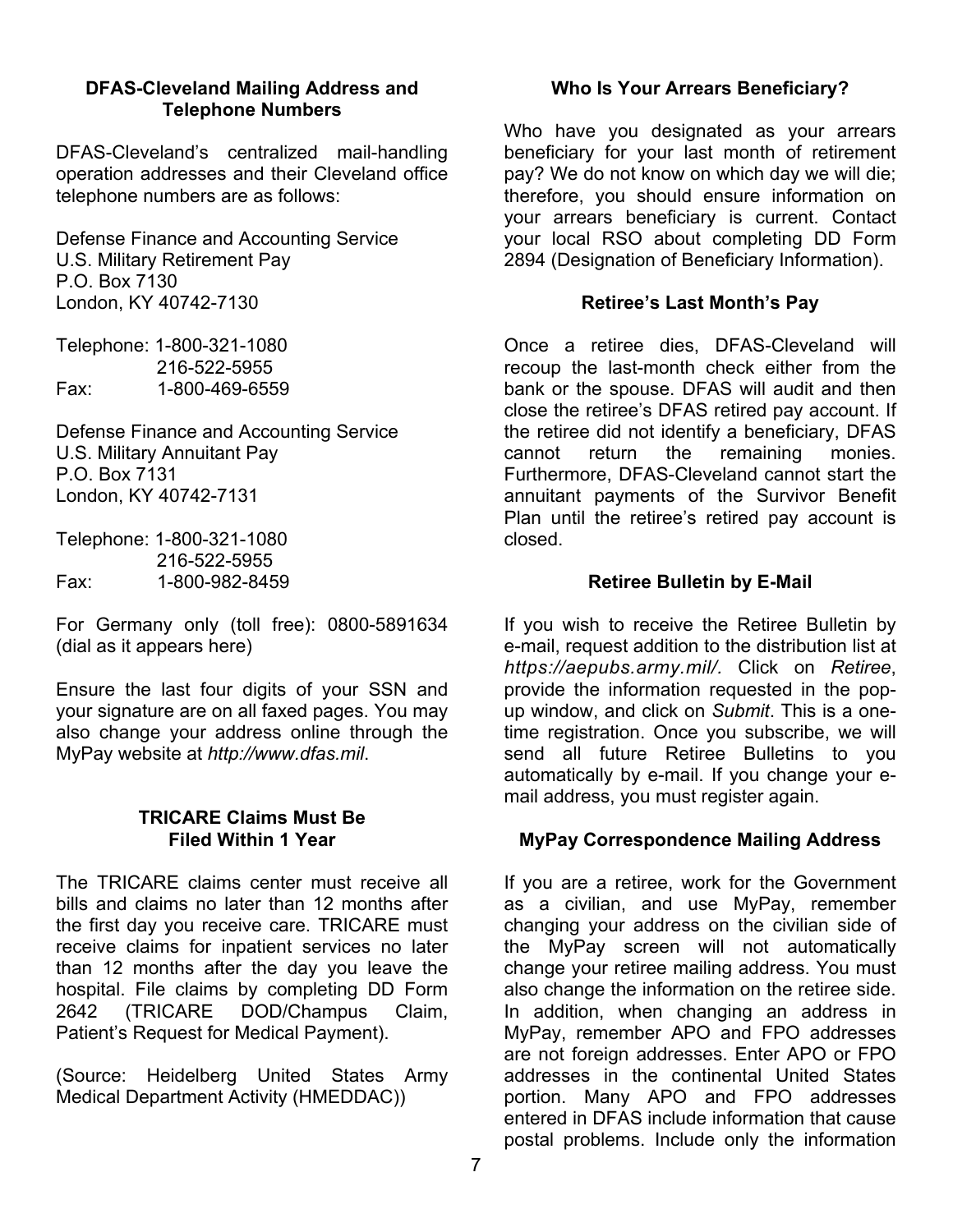#### **DFAS-Cleveland Mailing Address and Telephone Numbers**

DFAS-Cleveland's centralized mail-handling operation addresses and their Cleveland office telephone numbers are as follows:

Defense Finance and Accounting Service U.S. Military Retirement Pay P.O. Box 7130 London, KY 40742-7130

Telephone: 1-800-321-1080 216-522-5955 Fax: 1-800-469-6559

Defense Finance and Accounting Service U.S. Military Annuitant Pay P.O. Box 7131 London, KY 40742-7131

Telephone: 1-800-321-1080 216-522-5955 Fax: 1-800-982-8459

For Germany only (toll free): 0800-5891634 (dial as it appears here)

Ensure the last four digits of your SSN and your signature are on all faxed pages. You may also change your address online through the MyPay website at *http://www.dfas.mil*.

#### **TRICARE Claims Must Be Filed Within 1 Year**

The TRICARE claims center must receive all bills and claims no later than 12 months after the first day you receive care. TRICARE must receive claims for inpatient services no later than 12 months after the day you leave the hospital. File claims by completing DD Form 2642 (TRICARE DOD/Champus Claim, Patient's Request for Medical Payment).

(Source: Heidelberg United States Army Medical Department Activity (HMEDDAC))

### **Who Is Your Arrears Beneficiary?**

Who have you designated as your arrears beneficiary for your last month of retirement pay? We do not know on which day we will die; therefore, you should ensure information on your arrears beneficiary is current. Contact your local RSO about completing DD Form 2894 (Designation of Beneficiary Information).

### **Retiree's Last Month's Pay**

Once a retiree dies, DFAS-Cleveland will recoup the last-month check either from the bank or the spouse. DFAS will audit and then close the retiree's DFAS retired pay account. If the retiree did not identify a beneficiary, DFAS cannot return the remaining monies. Furthermore, DFAS-Cleveland cannot start the annuitant payments of the Survivor Benefit Plan until the retiree's retired pay account is closed.

#### **Retiree Bulletin by E-Mail**

If you wish to receive the Retiree Bulletin by e-mail, request addition to the distribution list at *https://aepubs.army.mil/.* Click on *Retiree*, provide the information requested in the popup window, and click on *Submit*. This is a onetime registration. Once you subscribe, we will send all future Retiree Bulletins to you automatically by e-mail. If you change your email address, you must register again.

### **MyPay Correspondence Mailing Address**

If you are a retiree, work for the Government as a civilian, and use MyPay, remember changing your address on the civilian side of the MyPay screen will not automatically change your retiree mailing address. You must also change the information on the retiree side. In addition, when changing an address in MyPay, remember APO and FPO addresses are not foreign addresses. Enter APO or FPO addresses in the continental United States portion. Many APO and FPO addresses entered in DFAS include information that cause postal problems. Include only the information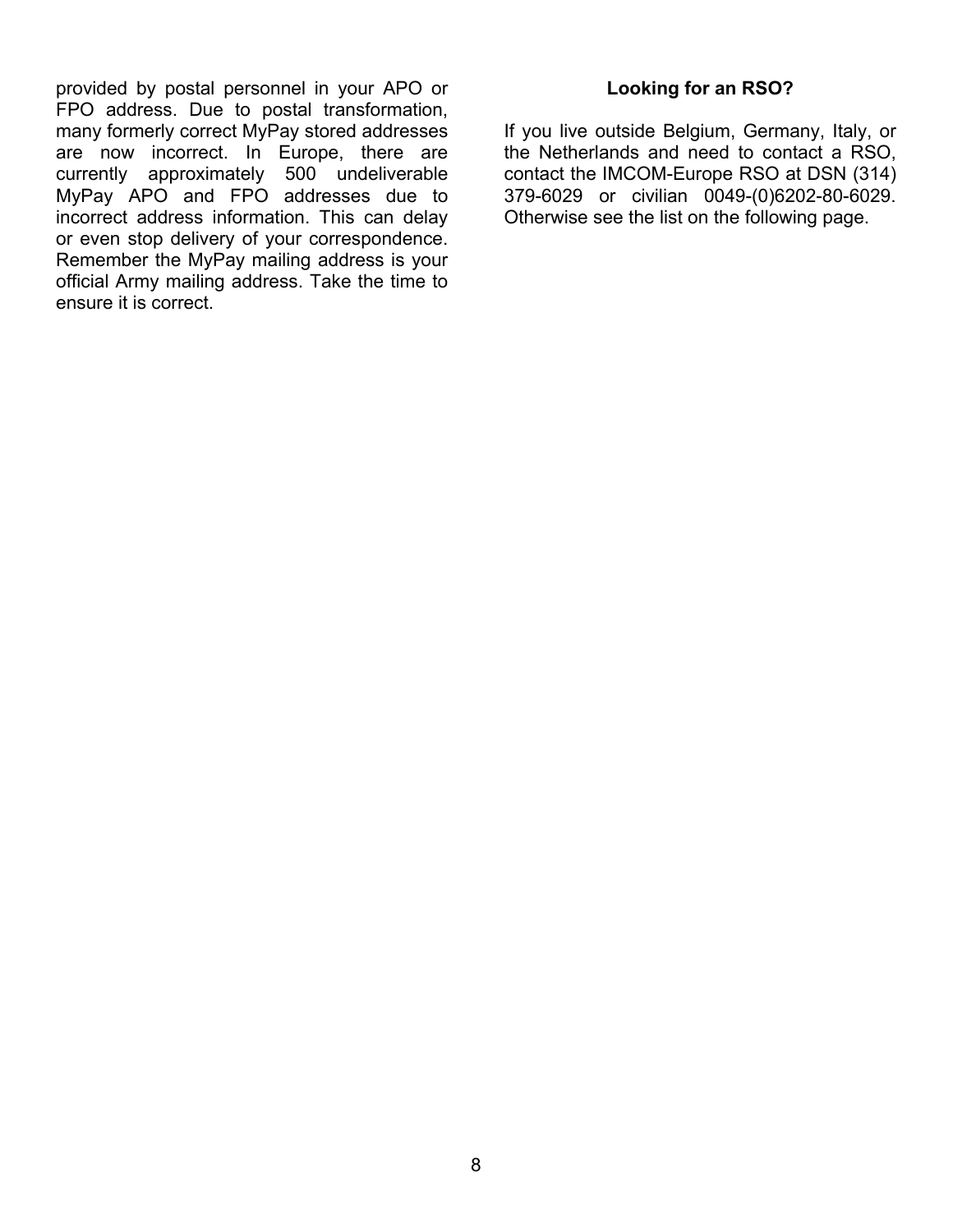provided by postal personnel in your APO or FPO address. Due to postal transformation, many formerly correct MyPay stored addresses are now incorrect. In Europe, there are currently approximately 500 undeliverable MyPay APO and FPO addresses due to incorrect address information. This can delay or even stop delivery of your correspondence. Remember the MyPay mailing address is your official Army mailing address. Take the time to ensure it is correct.

### **Looking for an RSO?**

If you live outside Belgium, Germany, Italy, or the Netherlands and need to contact a RSO, contact the IMCOM-Europe RSO at DSN (314) 379-6029 or civilian 0049-(0)6202-80-6029. Otherwise see the list on the following page.